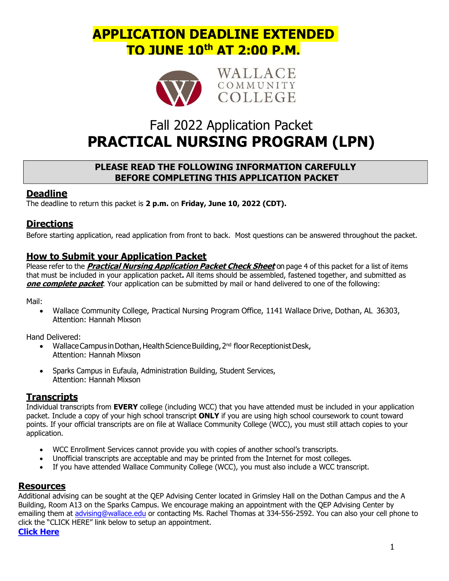# **APPLICATION DEADLINE EXTENDED TO JUNE 10th AT 2:00 P.M.**



WALLACE COMMUNITY COLLEGE

# Fall 2022 Application Packet **PRACTICAL NURSING PROGRAM (LPN)**

### **PLEASE READ THE FOLLOWING INFORMATION CAREFULLY BEFORE COMPLETING THIS APPLICATION PACKET**

### **Deadline**

The deadline to return this packet is **2 p.m.** on **Friday, June 10, 2022 (CDT).** 

## **Directions**

Before starting application, read application from front to back. Most questions can be answered throughout the packet.

## **How to Submit your Application Packet**

Please refer to the **Practical Nursing Application Packet Check Sheet** on page 4 of this packet for a list of items that must be included in your application packet**.** All items should be assembled, fastened together, and submitted as **one complete packet**. Your application can be submitted by mail or hand delivered to one of the following:

Mail:

 Wallace Community College, Practical Nursing Program Office, 1141 Wallace Drive, Dothan, AL 36303, Attention: Hannah Mixson

Hand Delivered:

- Wallace Campus in Dothan, Health Science Building, 2nd floor Receptionist Desk, Attention: Hannah Mixson
- Sparks Campus in Eufaula, Administration Building, Student Services, Attention: Hannah Mixson

### **Transcripts**

Individual transcripts from **EVERY** college (including WCC) that you have attended must be included in your application packet. Include a copy of your high school transcript **ONLY** if you are using high school coursework to count toward points. If your official transcripts are on file at Wallace Community College (WCC), you must still attach copies to your application.

- WCC Enrollment Services cannot provide you with copies of another school's transcripts.
- Unofficial transcripts are acceptable and may be printed from the Internet for most colleges.
- If you have attended Wallace Community College (WCC), you must also include a WCC transcript.

### **Resources**

Additional advising can be sought at the QEP Advising Center located in Grimsley Hall on the Dothan Campus and the A Building, Room A13 on the Sparks Campus. We encourage making an appointment with the QEP Advising Center by emailing them at advising@wallace.edu or contacting Ms. Rachel Thomas at 334-556-2592. You can also your cell phone to click the "CLICK HERE" link below to setup an appointment.

**Click Here**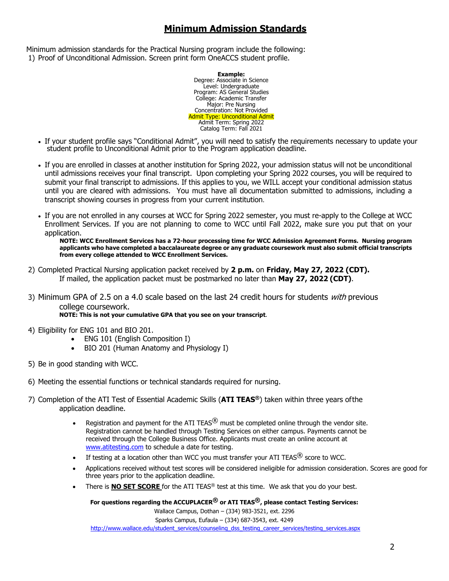# **Minimum Admission Standards**

Minimum admission standards for the Practical Nursing program include the following: 1) Proof of Unconditional Admission. Screen print form OneACCS student profile.

> **Example:**  Degree: Associate in Science Level: Undergraduate Program: AS General Studies College: Academic Transfer Major: Pre Nursing Concentration: Not Provided Admit Type: Unconditional Admit Admit Term: Spring 2022 Catalog Term: Fall 2021

- If your student profile says "Conditional Admit", you will need to satisfy the requirements necessary to update your student profile to Unconditional Admit prior to the Program application deadline.
- If you are enrolled in classes at another institution for Spring 2022, your admission status will not be unconditional until admissions receives your final transcript. Upon completing your Spring 2022 courses, you will be required to submit your final transcript to admissions. If this applies to you, we WILL accept your conditional admission status until you are cleared with admissions. You must have all documentation submitted to admissions, including a transcript showing courses in progress from your current institution.
- If you are not enrolled in any courses at WCC for Spring 2022 semester, you must re-apply to the College at WCC Enrollment Services. If you are not planning to come to WCC until Fall 2022, make sure you put that on your application.

**NOTE: WCC Enrollment Services has a 72-hour processing time for WCC Admission Agreement Forms. Nursing program applicants who have completed a baccalaureate degree or any graduate coursework must also submit official transcripts from every college attended to WCC Enrollment Services.** 

- 2) Completed Practical Nursing application packet received by **2 p.m.** on **Friday, May 27, 2022 (CDT).**  If mailed, the application packet must be postmarked no later than **May 27, 2022 (CDT)**.
- 3) Minimum GPA of 2.5 on a 4.0 scale based on the last 24 credit hours for students *with* previous college coursework. **NOTE: This is not your cumulative GPA that you see on your transcript**.
	-
- 4) Eligibility for ENG 101 and BIO 201.
	- ENG 101 (English Composition I)
	- BIO 201 (Human Anatomy and Physiology I)
- 5) Be in good standing with WCC.
- 6) Meeting the essential functions or technical standards required for nursing.
- 7) Completion of the ATI Test of Essential Academic Skills (**ATI TEAS®**) taken within three years of the application deadline.
	- Registration and payment for the ATI TEAS $<sup>®</sup>$  must be completed online through the vendor site.</sup> Registration cannot be handled through Testing Services on either campus. Payments cannot be received through the College Business Office. Applicants must create an online account at www.atitesting.com to schedule a date for testing.
	- If testing at a location other than WCC you must transfer your ATI TEAS $^{\circledR}$  score to WCC.
	- Applications received without test scores will be considered ineligible for admission consideration. Scores are good for three years prior to the application deadline.
	- There is **NO SET SCORE** for the ATI TEAS® test at this time. We ask that you do your best.

**For questions regarding the ACCUPLACER® or ATI TEAS®, please contact Testing Services:**  Wallace Campus, Dothan – (334) 983-3521, ext. 2296 Sparks Campus, Eufaula – (334) 687-3543, ext. 4249 http://www.wallace.edu/student\_services/counseling\_dss\_testing\_career\_services/testing\_services.aspx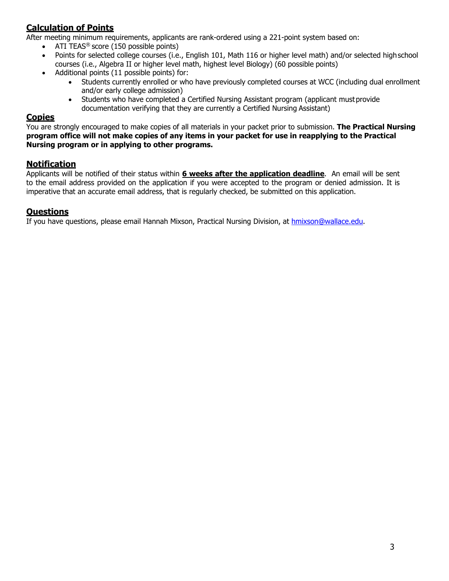# **Calculation of Points**

After meeting minimum requirements, applicants are rank-ordered using a 221-point system based on:

- $\bullet$  ATI TEAS<sup>®</sup> score (150 possible points)
- Points for selected college courses (i.e., English 101, Math 116 or higher level math) and/or selected high school courses (i.e., Algebra II or higher level math, highest level Biology) (60 possible points)
- Additional points (11 possible points) for:
	- Students currently enrolled or who have previously completed courses at WCC (including dual enrollment and/or early college admission)
	- Students who have completed a Certified Nursing Assistant program (applicant must provide documentation verifying that they are currently a Certified Nursing Assistant)

### **Copies**

You are strongly encouraged to make copies of all materials in your packet prior to submission. **The Practical Nursing program office will not make copies of any items in your packet for use in reapplying to the Practical Nursing program or in applying to other programs.** 

### **Notification**

Applicants will be notified of their status within **6 weeks after the application deadline**. An email will be sent to the email address provided on the application if you were accepted to the program or denied admission. It is imperative that an accurate email address, that is regularly checked, be submitted on this application.

### **Questions**

If you have questions, please email Hannah Mixson, Practical Nursing Division, at hmixson@wallace.edu.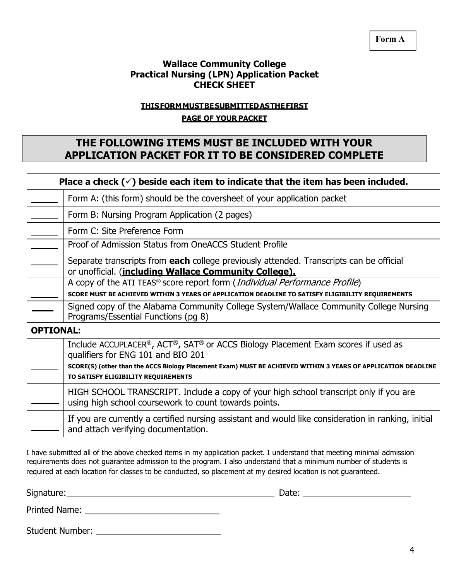**Form A** 

### **Wallace Community College Practical Nursing (LPN) Application Packet CHECK SHEET**

### **THIS FORM MUST BE SUBMITTED AS THE FIRST**

#### **PAGE OF YOUR PACKET**

# **THE FOLLOWING ITEMS MUST BE INCLUDED WITH YOUR APPLICATION PACKET FOR IT TO BE CONSIDERED COMPLETE**

|                  | Place a check $(\check{\phantom{a}})$ beside each item to indicate that the item has been included.                                                                                                                                                                            |
|------------------|--------------------------------------------------------------------------------------------------------------------------------------------------------------------------------------------------------------------------------------------------------------------------------|
|                  | Form A: (this form) should be the coversheet of your application packet                                                                                                                                                                                                        |
|                  | Form B: Nursing Program Application (2 pages)                                                                                                                                                                                                                                  |
|                  | Form C: Site Preference Form                                                                                                                                                                                                                                                   |
|                  | Proof of Admission Status from OneACCS Student Profile                                                                                                                                                                                                                         |
|                  | Separate transcripts from each college previously attended. Transcripts can be official<br>or unofficial. (including Wallace Community College).                                                                                                                               |
|                  | A copy of the ATI TEAS <sup>®</sup> score report form ( <i>Individual Performance Profile</i> )                                                                                                                                                                                |
|                  | SCORE MUST BE ACHIEVED WITHIN 3 YEARS OF APPLICATION DEADLINE TO SATISFY ELIGIBILITY REQUIREMENTS                                                                                                                                                                              |
|                  | Signed copy of the Alabama Community College System/Wallace Community College Nursing<br>Programs/Essential Functions (pg 8)                                                                                                                                                   |
| <b>OPTIONAL:</b> |                                                                                                                                                                                                                                                                                |
|                  | Include ACCUPLACER®, ACT®, SAT® or ACCS Biology Placement Exam scores if used as<br>qualifiers for ENG 101 and BIO 201<br>SCORE(S) (other than the ACCS Biology Placement Exam) MUST BE ACHIEVED WITHIN 3 YEARS OF APPLICATION DEADLINE<br>TO SATISFY ELIGIBILITY REQUIREMENTS |
|                  | HIGH SCHOOL TRANSCRIPT. Include a copy of your high school transcript only if you are<br>using high school coursework to count towards points.                                                                                                                                 |
|                  | If you are currently a certified nursing assistant and would like consideration in ranking, initial<br>and attach verifying documentation.                                                                                                                                     |

I have submitted all of the above checked items in my application packet. I understand that meeting minimal admission requirements does not guarantee admission to the program. I also understand that a minimum number of students is required at each location for classes to be conducted, so placement at my desired location is not guaranteed.

Signature: Date:

Printed Name: \_\_\_\_\_\_\_\_\_\_\_\_\_\_\_\_\_\_\_\_\_\_\_\_\_\_\_\_

Student Number: \_\_\_\_\_\_\_\_\_\_\_\_\_\_\_\_\_\_\_\_\_\_\_\_\_\_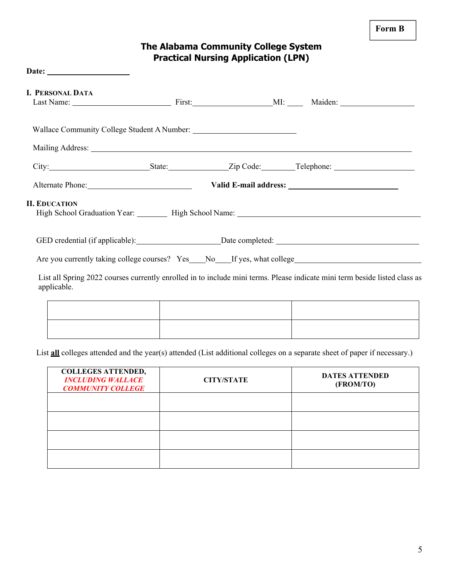# **The Alabama Community College System Practical Nursing Application (LPN)**

| <b>I. PERSONAL DATA</b> |  |                                                                                                                                                                                                                                |
|-------------------------|--|--------------------------------------------------------------------------------------------------------------------------------------------------------------------------------------------------------------------------------|
|                         |  |                                                                                                                                                                                                                                |
|                         |  | Mailing Address: National Address: National Address: National Address: National Address: National Address: National Address: National Address: National Address: National Address: National Address: National Address: Nationa |
|                         |  |                                                                                                                                                                                                                                |
|                         |  | Alternate Phone: Valid E-mail address:                                                                                                                                                                                         |
| <b>II. EDUCATION</b>    |  | High School Graduation Year: High School Name: 1997 Mannel Mannel Mannel Mannel Mannel Mannel Mannel Mannel Ma                                                                                                                 |
|                         |  |                                                                                                                                                                                                                                |
|                         |  | Are you currently taking college courses? Yes No If yes, what college                                                                                                                                                          |
| applicable.             |  | List all Spring 2022 courses currently enrolled in to include mini terms. Please indicate mini term beside listed class as                                                                                                     |
|                         |  |                                                                                                                                                                                                                                |
|                         |  |                                                                                                                                                                                                                                |

List **all** colleges attended and the year(s) attended (List additional colleges on a separate sheet of paper if necessary.)

| <b>COLLEGES ATTENDED,</b><br><b>INCLUDING WALLACE</b><br><b>COMMUNITY COLLEGE</b> | <b>CITY/STATE</b> | <b>DATES ATTENDED</b><br>(FROM/TO) |
|-----------------------------------------------------------------------------------|-------------------|------------------------------------|
|                                                                                   |                   |                                    |
|                                                                                   |                   |                                    |
|                                                                                   |                   |                                    |
|                                                                                   |                   |                                    |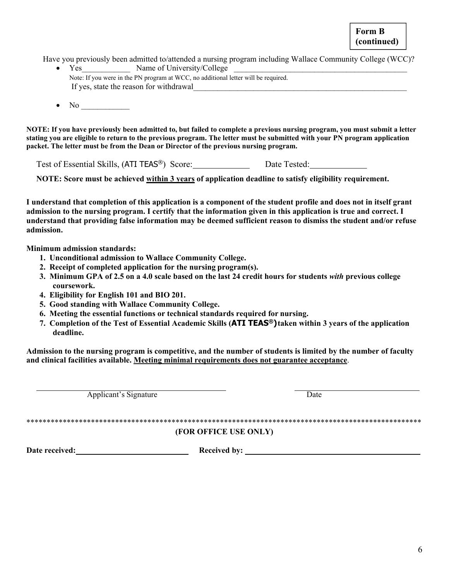**Form B (continued)** 

Have you previously been admitted to/attended a nursing program including Wallace Community College (WCC)?

- Yes Name of University/College Note: If you were in the PN program at WCC, no additional letter will be required. If yes, state the reason for withdrawal
- $\bullet$  No  $\bullet$

**NOTE: If you have previously been admitted to, but failed to complete a previous nursing program, you must submit a letter stating you are eligible to return to the previous program. The letter must be submitted with your PN program application packet. The letter must be from the Dean or Director of the previous nursing program.** 

Test of Essential Skills, (ATI TEAS®) Score: Date Tested: Date Tested:

**NOTE: Score must be achieved within 3 years of application deadline to satisfy eligibility requirement.** 

**I understand that completion of this application is a component of the student profile and does not in itself grant admission to the nursing program. I certify that the information given in this application is true and correct. I understand that providing false information may be deemed sufficient reason to dismiss the student and/or refuse admission.** 

**Minimum admission standards:** 

- **1. Unconditional admission to Wallace Community College.**
- **2. Receipt of completed application for the nursing program(s).**
- **3. Minimum GPA of 2.5 on a 4.0 scale based on the last 24 credit hours for students** *with* **previous college coursework.**
- **4. Eligibility for English 101 and BIO 201.**
- **5. Good standing with Wallace Community College.**
- **6. Meeting the essential functions or technical standards required for nursing.**
- **7. Completion of the Test of Essential Academic Skills (ATI TEAS®) taken within 3 years of the application deadline.**

**Admission to the nursing program is competitive, and the number of students is limited by the number of faculty and clinical facilities available. Meeting minimal requirements does not guarantee acceptance**.

Applicant's Signature Date

### \*\*\*\*\*\*\*\*\*\*\*\*\*\*\*\*\*\*\*\*\*\*\*\*\*\*\*\*\*\*\*\*\*\*\*\*\*\*\*\*\*\*\*\*\*\*\*\*\*\*\*\*\*\*\*\*\*\*\*\*\*\*\*\*\*\*\*\*\*\*\*\*\*\*\*\*\*\*\*\*\*\*\*\*\*\*\*\*\*\*\*\*\*\*\*\*\*\* **(FOR OFFICE USE ONLY)**

Date received: Network and Received by: Network and Received by: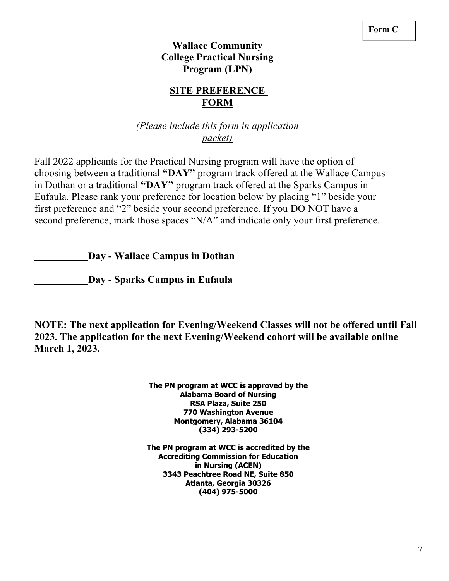# **Wallace Community College Practical Nursing Program (LPN)**

# **SITE PREFERENCE FORM**

# *(Please include this form in application packet)*

Fall 2022 applicants for the Practical Nursing program will have the option of choosing between a traditional **"DAY"** program track offered at the Wallace Campus in Dothan or a traditional **"DAY"** program track offered at the Sparks Campus in Eufaula. Please rank your preference for location below by placing "1" beside your first preference and "2" beside your second preference. If you DO NOT have a second preference, mark those spaces "N/A" and indicate only your first preference.

 **Day - Wallace Campus in Dothan** 

 **Day - Sparks Campus in Eufaula** 

**NOTE: The next application for Evening/Weekend Classes will not be offered until Fall 2023. The application for the next Evening/Weekend cohort will be available online March 1, 2023.** 

> **The PN program at WCC is approved by the Alabama Board of Nursing RSA Plaza, Suite 250 770 Washington Avenue Montgomery, Alabama 36104 (334) 293-5200**

**The PN program at WCC is accredited by the Accrediting Commission for Education in Nursing (ACEN) 3343 Peachtree Road NE, Suite 850 Atlanta, Georgia 30326 (404) 975-5000**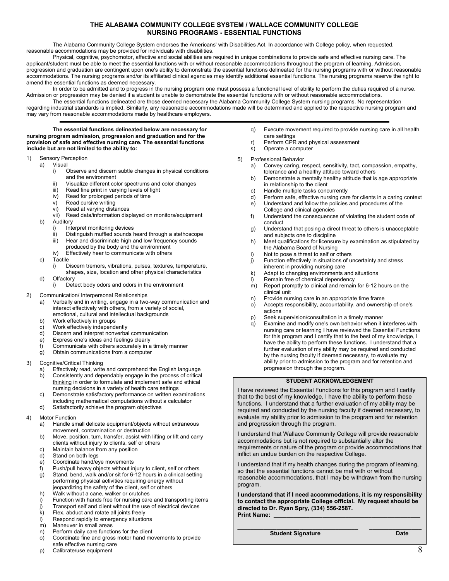#### **THE ALABAMA COMMUNITY COLLEGE SYSTEM / WALLACE COMMUNITY COLLEGE NURSING PROGRAMS - ESSENTIAL FUNCTIONS**

The Alabama Community College System endorses the Americans' with Disabilities Act. In accordance with College policy, when requested, reasonable accommodations may be provided for individuals with disabilities.

Physical, cognitive, psychomotor, affective and social abilities are required in unique combinations to provide safe and effective nursing care. The applicant/student must be able to meet the essential functions with or without reasonable accommodations throughout the program of learning. Admission, progression and graduation are contingent upon one's ability to demonstrate the essential functions delineated for the nursing programs with or without reasonable accommodations. The nursing programs and/or its affiliated clinical agencies may identify additional essential functions. The nursing programs reserve the right to amend the essential functions as deemed necessary.

In order to be admitted and to progress in the nursing program one must possess a functional level of ability to perform the duties required of a nurse. Admission or progression may be denied if a student is unable to demonstrate the essential functions with or without reasonable accommodations.

The essential functions delineated are those deemed necessary the Alabama Community College System nursing programs. No representation regarding industrial standards is implied. Similarly, any reasonable accommodations made will be determined and applied to the respective nursing program and may vary from reasonable accommodations made by healthcare employers.

**The essential functions delineated below are necessary for nursing program admission, progression and graduation and for the provision of safe and effective nursing care. The essential functions include but are not limited to the ability to:** 

- 1) Sensory Perception
	- Visual<br>i) (
		- Observe and discern subtle changes in physical conditions and the environment
		- ii) Visualize different color spectrums and color changes<br>iii) Read fine print in varying levels of light
		- Read fine print in varying levels of light
		- iv) Read for prolonged periods of time
		-
		- v) Read cursive writing<br>vi) Read at varying dista Read at varying distances
		- vii) Read data/information displayed on monitors/equipment
	- b) Auditory
		- Interpret monitoring devices
		- ii) Distinguish muffled sounds heard through a stethoscope<br>iii) Hear and discriminate high and low frequency sounds
		- Hear and discriminate high and low frequency sounds
		- produced by the body and the environment
		- iv) Effectively hear to communicate with others
	- c) Tactile
		- i) Discern tremors, vibrations, pulses, textures, temperature, shapes, size, location and other physical characteristics
	- d) Olfactory
		- Detect body odors and odors in the environment
- 2) Communication/ Interpersonal Relationships
	- a) Verbally and in writing, engage in a two-way communication and interact effectively with others, from a variety of social, emotional, cultural and intellectual backgrounds
	- b) Work effectively in groups
	- c) Work effectively independently
	- d) Discern and interpret nonverbal communication
	- e) Express one's ideas and feelings clearly
	- f) Communicate with others accurately in a timely manner
	- g) Obtain communications from a computer
- 3) Cognitive/Critical Thinking
	- a) Effectively read, write and comprehend the English language b) Consistently and dependably engage in the process of critical thinking in order to formulate and implement safe and ethical nursing decisions in a variety of health care settings
	- c) Demonstrate satisfactory performance on written examinations
	- including mathematical computations without a calculator
	- d) Satisfactorily achieve the program objectives
- 4) Motor Function
	- a) Handle small delicate equipment/objects without extraneous movement, contamination or destruction
	- b) Move, position, turn, transfer, assist with lifting or lift and carry clients without injury to clients, self or others
	- c) Maintain balance from any position
	- d) Stand on both legs
	- e) Coordinate hand/eye movements
	- f) Push/pull heavy objects without injury to client, self or others g) Stand, bend, walk and/or sit for 6-12 hours in a clinical setting performing physical activities requiring energy without jeopardizing the safety of the client, self or others
	- h) Walk without a cane, walker or crutches
	- i) Function with hands free for nursing care and transporting items
	- j) Transport self and client without the use of electrical devices
	- $k$ ) Flex, abduct and rotate all joints freely  $l$ ) Respond rapidly to emergency situation
	- Respond rapidly to emergency situations
	- m) Maneuver in small areas
	- n) Perform daily care functions for the client
	- o) Coordinate fine and gross motor hand movements to provide safe effective nursing care
	- p) Calibrate/use equipment
- q) Execute movement required to provide nursing care in all health care settings
- r) Perform CPR and physical assessment
- s) Operate a computer
- 5) Professional Behavior
	- a) Convey caring, respect, sensitivity, tact, compassion, empathy, tolerance and a healthy attitude toward others
	- b) Demonstrate a mentally healthy attitude that is age appropriate in relationship to the client
	- c) Handle multiple tasks concurrently
	- d) Perform safe, effective nursing care for clients in a caring context
	- e) Understand and follow the policies and procedures of the College and clinical agencies
	- f) Understand the consequences of violating the student code of conduct
	- g) Understand that posing a direct threat to others is unacceptable and subjects one to discipline
	- h) Meet qualifications for licensure by examination as stipulated by
	- the Alabama Board of Nursing i) Not to pose a threat to self or others
	- j) Function effectively in situations of uncertainty and stress
	- inherent in providing nursing care
	- k) Adapt to changing environments and situations
	- l) Remain free of chemical dependency
	- m) Report promptly to clinical and remain for 6-12 hours on the clinical unit
	- n) Provide nursing care in an appropriate time frame
	- o) Accepts responsibility, accountability, and ownership of one's actions
	- p) Seek supervision/consultation in a timely manner
	- q) Examine and modify one's own behavior when it interferes with nursing care or learning I have reviewed the Essential Functions for this program and I certify that to the best of my knowledge, I have the ability to perform these functions. I understand that a further evaluation of my ability may be required and conducted by the nursing faculty if deemed necessary, to evaluate my ability prior to admission to the program and for retention and progression through the program.

#### **STUDENT ACKNOWLEDGEMENT**

I have reviewed the Essential Functions for this program and I certify that to the best of my knowledge, I have the ability to perform these functions. I understand that a further evaluation of my ability may be required and conducted by the nursing faculty if deemed necessary, to evaluate my ability prior to admission to the program and for retention and progression through the program.

I understand that Wallace Community College will provide reasonable accommodations but is not required to substantially alter the requirements or nature of the program or provide accommodations that inflict an undue burden on the respective College.

I understand that if my health changes during the program of learning, so that the essential functions cannot be met with or without reasonable accommodations, that I may be withdrawn from the nursing program.

**I understand that if I need accommodations, it is my responsibility to contact the appropriate College official. My request should be directed to Dr. Ryan Spry, (334) 556-2587. Print Name:** 

**\_\_\_\_\_\_\_\_\_\_\_\_\_\_\_\_\_\_\_\_\_\_\_\_\_\_\_\_\_\_\_\_\_\_\_\_\_ \_\_\_\_\_\_\_\_\_\_\_\_\_\_\_\_** 

**Student Signature Date**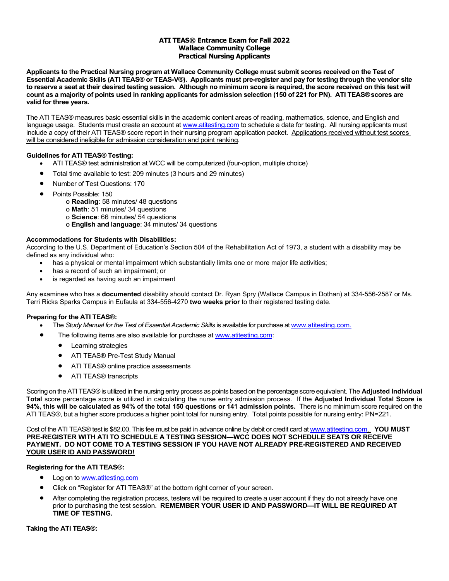#### **ATI TEAS® Entrance Exam for Fall 2022 Wallace Community College Practical Nursing Applicants**

**Applicants to the Practical Nursing program at Wallace Community College must submit scores received on the Test of Essential Academic Skills (ATI TEAS® or TEAS-V®). Applicants must pre-register and pay for testing through the vendor site to reserve a seat at their desired testing session. Although no minimum score is required, the score received on this test will count as a majority of points used in ranking applicants for admission selection (150 of 221 for PN). ATI TEAS®scores are valid for three years.** 

The ATI TEAS® measures basic essential skills in the academic content areas of reading, mathematics, science, and English and language usage. Students must create an account at www.atitesting.com to schedule a date for testing. All nursing applicants must include a copy of their ATI TEAS® score report in their nursing program application packet. Applications received without test scores will be considered ineligible for admission consideration and point ranking.

#### **Guidelines for ATI TEAS® Testing:**

- ATI TEAS® test administration at WCC will be computerized (four-option, multiple choice)
- Total time available to test: 209 minutes (3 hours and 29 minutes)
- Number of Test Questions: 170
- Points Possible: 150
	- o **Reading**: 58 minutes/ 48 questions
	- o **Math**: 51 minutes/ 34 questions
	- o **Science**: 66 minutes/ 54 questions
		- o **English and language**: 34 minutes/ 34 questions

#### **Accommodations for Students with Disabilities:**

According to the U.S. Department of Education's Section 504 of the Rehabilitation Act of 1973, a student with a disability may be defined as any individual who:

- has a physical or mental impairment which substantially limits one or more major life activities;
- has a record of such an impairment; or
- is regarded as having such an impairment

Any examinee who has a **documented** disability should contact Dr. Ryan Spry (Wallace Campus in Dothan) at 334-556-2587 or Ms. Terri Ricks Sparks Campus in Eufaula at 334-556-4270 **two weeks prior** to their registered testing date.

#### **Preparing for the ATI TEAS®:**

- The *Study Manual for the Test of Essential Academic Skills* is available for purchase at www.atitesting.com.
	- The following items are also available for purchase at www.atitesting.com:
		- Learning strategies
		- **ATI TEAS® Pre-Test Study Manual**
		- ATI TEAS® online practice assessments
		- ATI TEAS® transcripts

Scoring on the ATI TEAS® is utilized in the nursing entry process as points based on the percentage score equivalent. The **Adjusted Individual Total** score percentage score is utilized in calculating the nurse entry admission process. If the **Adjusted Individual Total Score is 94%, this will be calculated as 94% of the total 150 questions or 141 admission points.** There is no minimum score required on the ATI TEAS®, but a higher score produces a higher point total for nursing entry. Total points possible for nursing entry: PN=221.

Cost of the ATI TEAS® test is \$82.00. This fee must be paid in advance online by debit or credit card at www.atitesting.com. **YOU MUST PRE-REGISTER WITH ATI TO SCHEDULE A TESTING SESSION—WCC DOES NOT SCHEDULE SEATS OR RECEIVE PAYMENT. DO NOT COME TO A TESTING SESSION IF YOU HAVE NOT ALREADY PRE-REGISTERED AND RECEIVED YOUR USER ID AND PASSWORD!** 

#### **Registering for the ATI TEAS®:**

- Log on to www.atitesting.com
- Click on "Register for ATI TEAS®" at the bottom right corner of your screen.
- After completing the registration process, testers will be required to create a user account if they do not already have one prior to purchasing the test session. **REMEMBER YOUR USER ID AND PASSWORD—IT WILL BE REQUIRED AT TIME OF TESTING.**

#### **Taking the ATI TEAS®:**